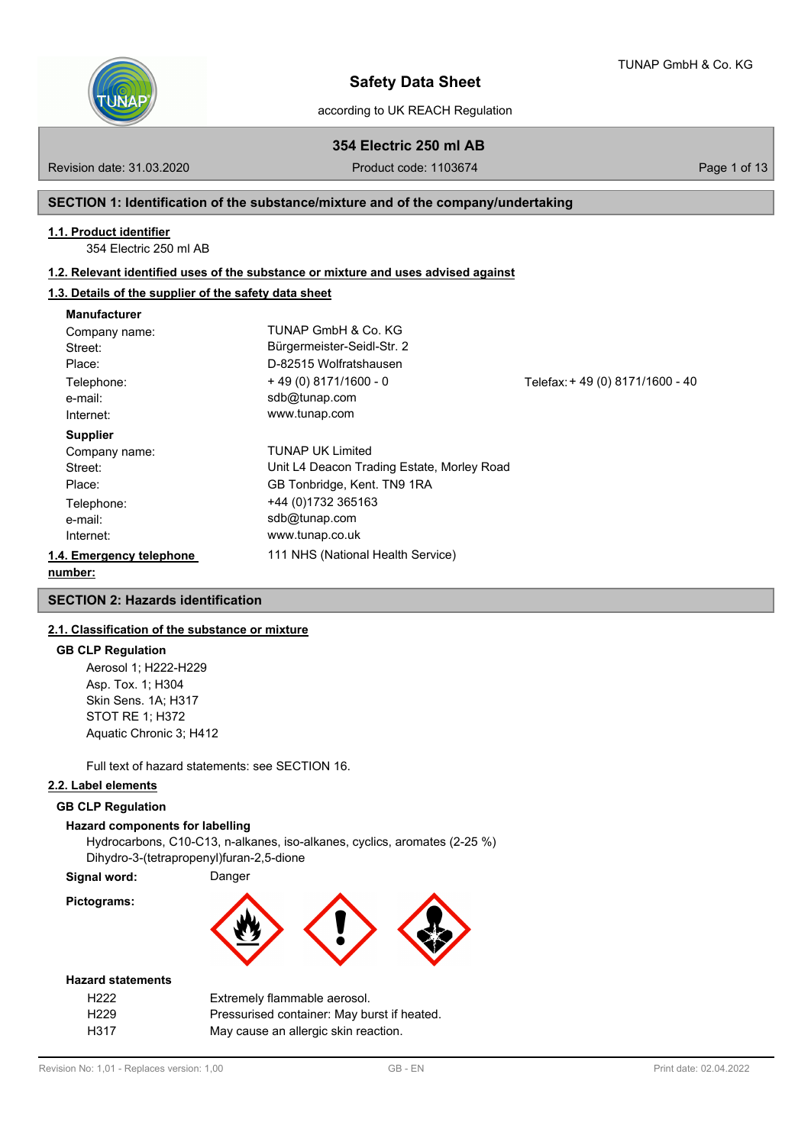

according to UK REACH Regulation

**354 Electric 250 ml AB**

Revision date: 31.03.2020 **Product code: 1103674** Page 1 of 13

## **SECTION 1: Identification of the substance/mixture and of the company/undertaking**

### **1.1. Product identifier**

354 Electric 250 ml AB

## **1.2. Relevant identified uses of the substance or mixture and uses advised against**

## **1.3. Details of the supplier of the safety data sheet**

| <b>Manufacturer</b>      |                                            |                                  |
|--------------------------|--------------------------------------------|----------------------------------|
| Company name:            | TUNAP GmbH & Co. KG                        |                                  |
| Street:                  | Bürgermeister-Seidl-Str. 2                 |                                  |
| Place:                   | D-82515 Wolfratshausen                     |                                  |
| Telephone:               | $+49(0)8171/1600 - 0$                      | Telefax: + 49 (0) 8171/1600 - 40 |
| e-mail:                  | sdb@tunap.com                              |                                  |
| Internet:                | www.tunap.com                              |                                  |
| <b>Supplier</b>          |                                            |                                  |
| Company name:            | <b>TUNAP UK Limited</b>                    |                                  |
| Street:                  | Unit L4 Deacon Trading Estate, Morley Road |                                  |
| Place:                   | GB Tonbridge, Kent. TN9 1RA                |                                  |
| Telephone:               | +44 (0)1732 365163                         |                                  |
| e-mail:                  | sdb@tunap.com                              |                                  |
| Internet:                | www.tunap.co.uk                            |                                  |
| 1.4. Emergency telephone | 111 NHS (National Health Service)          |                                  |
| number:                  |                                            |                                  |

## **SECTION 2: Hazards identification**

## **2.1. Classification of the substance or mixture**

## **GB CLP Regulation**

Aerosol 1; H222-H229 Asp. Tox. 1; H304 Skin Sens. 1A; H317 STOT RE 1; H372 Aquatic Chronic 3; H412

Full text of hazard statements: see SECTION 16.

## **2.2. Label elements**

### **GB CLP Regulation**

#### **Hazard components for labelling**

Hydrocarbons, C10-C13, n-alkanes, iso-alkanes, cyclics, aromates (2-25 %) Dihydro-3-(tetrapropenyl)furan-2,5-dione

**Signal word:** Danger

**Pictograms:**



#### **Hazard statements**

| H <sub>222</sub> | Extremely flammable aerosol.                |
|------------------|---------------------------------------------|
| H <sub>229</sub> | Pressurised container: May burst if heated. |
| H317             | May cause an allergic skin reaction.        |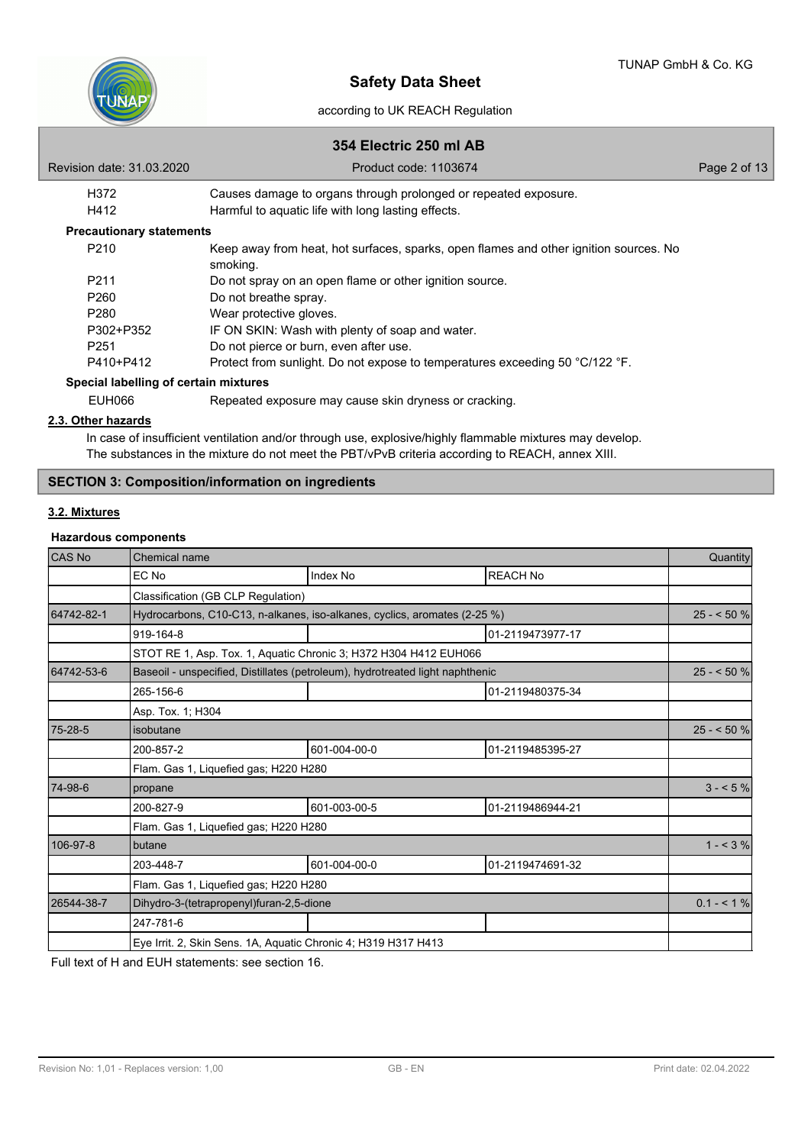

# **354 Electric 250 ml AB**

| Revision date: 31.03.2020             | Product code: 1103674                                                                             | Page 2 of 13 |
|---------------------------------------|---------------------------------------------------------------------------------------------------|--------------|
| H372                                  | Causes damage to organs through prolonged or repeated exposure.                                   |              |
| H412                                  | Harmful to aquatic life with long lasting effects.                                                |              |
| <b>Precautionary statements</b>       |                                                                                                   |              |
| P <sub>210</sub>                      | Keep away from heat, hot surfaces, sparks, open flames and other ignition sources. No<br>smoking. |              |
| P <sub>211</sub>                      | Do not spray on an open flame or other ignition source.                                           |              |
| P <sub>260</sub>                      | Do not breathe spray.                                                                             |              |
| P <sub>280</sub>                      | Wear protective gloves.                                                                           |              |
| P302+P352                             | IF ON SKIN: Wash with plenty of soap and water.                                                   |              |
| P <sub>251</sub>                      | Do not pierce or burn, even after use.                                                            |              |
| P410+P412                             | Protect from sunlight. Do not expose to temperatures exceeding 50 °C/122 °F.                      |              |
| Special labelling of certain mixtures |                                                                                                   |              |
| EUH066                                | Repeated exposure may cause skin dryness or cracking.                                             |              |

## **2.3. Other hazards**

In case of insufficient ventilation and/or through use, explosive/highly flammable mixtures may develop. The substances in the mixture do not meet the PBT/vPvB criteria according to REACH, annex XIII.

# **SECTION 3: Composition/information on ingredients**

## **3.2. Mixtures**

## **Hazardous components**

| <b>CAS No</b> | Chemical name                                                                 |              |                  |            |  |
|---------------|-------------------------------------------------------------------------------|--------------|------------------|------------|--|
|               | EC No                                                                         | Index No     | <b>REACH No</b>  |            |  |
|               | Classification (GB CLP Regulation)                                            |              |                  |            |  |
| 64742-82-1    | Hydrocarbons, C10-C13, n-alkanes, iso-alkanes, cyclics, aromates (2-25 %)     |              |                  | $25 - 50%$ |  |
|               | 919-164-8                                                                     |              | 01-2119473977-17 |            |  |
|               | STOT RE 1, Asp. Tox. 1, Aquatic Chronic 3; H372 H304 H412 EUH066              |              |                  |            |  |
| 64742-53-6    | Baseoil - unspecified, Distillates (petroleum), hydrotreated light naphthenic |              |                  | $25 - 50%$ |  |
|               | 265-156-6                                                                     |              | 01-2119480375-34 |            |  |
|               | Asp. Tox. 1; H304                                                             |              |                  |            |  |
| 75-28-5       | isobutane                                                                     |              |                  |            |  |
|               | 200-857-2                                                                     | 601-004-00-0 | 01-2119485395-27 |            |  |
|               | Flam. Gas 1, Liquefied gas; H220 H280                                         |              |                  |            |  |
| 74-98-6       | propane                                                                       |              |                  | $3 - 5\%$  |  |
|               | 200-827-9                                                                     | 601-003-00-5 | 01-2119486944-21 |            |  |
|               | Flam. Gas 1, Liquefied gas; H220 H280                                         |              |                  |            |  |
| 106-97-8      | butane                                                                        |              |                  | $1 - 3\%$  |  |
|               | 203-448-7                                                                     | 601-004-00-0 | 01-2119474691-32 |            |  |
|               | Flam. Gas 1, Liquefied gas; H220 H280                                         |              |                  |            |  |
| 26544-38-7    | Dihydro-3-(tetrapropenyl)furan-2,5-dione                                      |              |                  |            |  |
|               | 247-781-6                                                                     |              |                  |            |  |
|               | Eye Irrit. 2, Skin Sens. 1A, Aquatic Chronic 4; H319 H317 H413                |              |                  |            |  |

Full text of H and EUH statements: see section 16.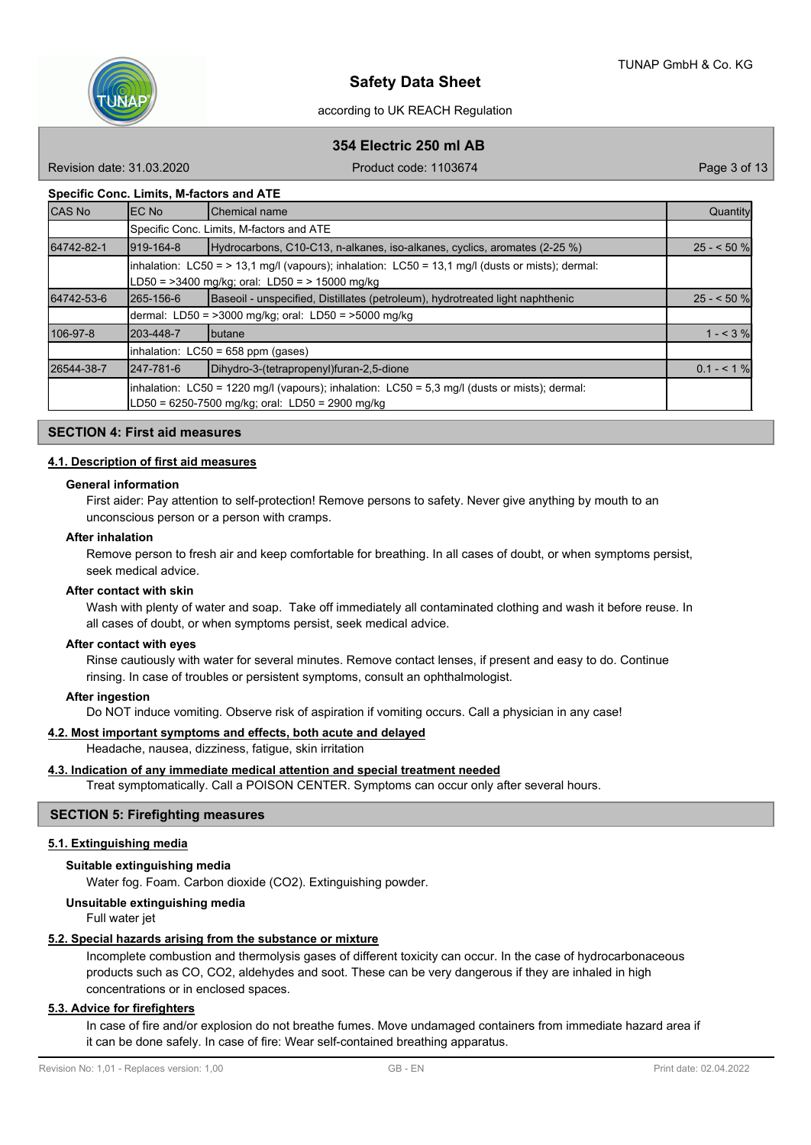

# **354 Electric 250 ml AB**

Revision date: 31.03.2020 **Product code: 1103674** Page 3 of 13

### **Specific Conc. Limits, M-factors and ATE**

| <b>CAS No</b> | IEC No                                                                                                                                                 | Chemical name                                                                                                                                                | Quantity     |  |  |  |
|---------------|--------------------------------------------------------------------------------------------------------------------------------------------------------|--------------------------------------------------------------------------------------------------------------------------------------------------------------|--------------|--|--|--|
|               | Specific Conc. Limits, M-factors and ATE                                                                                                               |                                                                                                                                                              |              |  |  |  |
| 64742-82-1    | 919-164-8<br>Hydrocarbons, C10-C13, n-alkanes, iso-alkanes, cyclics, aromates (2-25 %)                                                                 |                                                                                                                                                              |              |  |  |  |
|               |                                                                                                                                                        | $\lambda$ inhalation: LC50 = > 13,1 mg/l (vapours); inhalation: LC50 = 13,1 mg/l (dusts or mists); dermal:<br>LD50 = >3400 mg/kg; oral: LD50 = > 15000 mg/kg |              |  |  |  |
| 64742-53-6    | 265-156-6                                                                                                                                              | Baseoil - unspecified, Distillates (petroleum), hydrotreated light naphthenic                                                                                | $25 - 50$ %  |  |  |  |
|               |                                                                                                                                                        | dermal: LD50 = >3000 mg/kg; oral: LD50 = >5000 mg/kg                                                                                                         |              |  |  |  |
| 106-97-8      | 203-448-7<br><b>I</b> butane                                                                                                                           |                                                                                                                                                              |              |  |  |  |
|               | inhalation: LC50 = 658 ppm (gases)                                                                                                                     |                                                                                                                                                              |              |  |  |  |
| 26544-38-7    | 247-781-6                                                                                                                                              | Dihydro-3-(tetrapropenyl)furan-2,5-dione                                                                                                                     | $0.1 - 5.1%$ |  |  |  |
|               | inhalation: LC50 = 1220 mg/l (vapours); inhalation: LC50 = 5,3 mg/l (dusts or mists); dermal:<br>$LD50 = 6250 - 7500$ mg/kg; oral: $LD50 = 2900$ mg/kg |                                                                                                                                                              |              |  |  |  |

### **SECTION 4: First aid measures**

## **4.1. Description of first aid measures**

### **General information**

First aider: Pay attention to self-protection! Remove persons to safety. Never give anything by mouth to an unconscious person or a person with cramps.

#### **After inhalation**

Remove person to fresh air and keep comfortable for breathing. In all cases of doubt, or when symptoms persist, seek medical advice.

#### **After contact with skin**

Wash with plenty of water and soap. Take off immediately all contaminated clothing and wash it before reuse. In all cases of doubt, or when symptoms persist, seek medical advice.

### **After contact with eyes**

Rinse cautiously with water for several minutes. Remove contact lenses, if present and easy to do. Continue rinsing. In case of troubles or persistent symptoms, consult an ophthalmologist.

### **After ingestion**

Do NOT induce vomiting. Observe risk of aspiration if vomiting occurs. Call a physician in any case!

### **4.2. Most important symptoms and effects, both acute and delayed**

Headache, nausea, dizziness, fatigue, skin irritation

### **4.3. Indication of any immediate medical attention and special treatment needed**

Treat symptomatically. Call a POISON CENTER. Symptoms can occur only after several hours.

## **SECTION 5: Firefighting measures**

## **5.1. Extinguishing media**

### **Suitable extinguishing media**

Water fog. Foam. Carbon dioxide (CO2). Extinguishing powder.

**Unsuitable extinguishing media**

Full water jet

## **5.2. Special hazards arising from the substance or mixture**

Incomplete combustion and thermolysis gases of different toxicity can occur. In the case of hydrocarbonaceous products such as CO, CO2, aldehydes and soot. These can be very dangerous if they are inhaled in high concentrations or in enclosed spaces.

## **5.3. Advice for firefighters**

In case of fire and/or explosion do not breathe fumes. Move undamaged containers from immediate hazard area if it can be done safely. In case of fire: Wear self-contained breathing apparatus.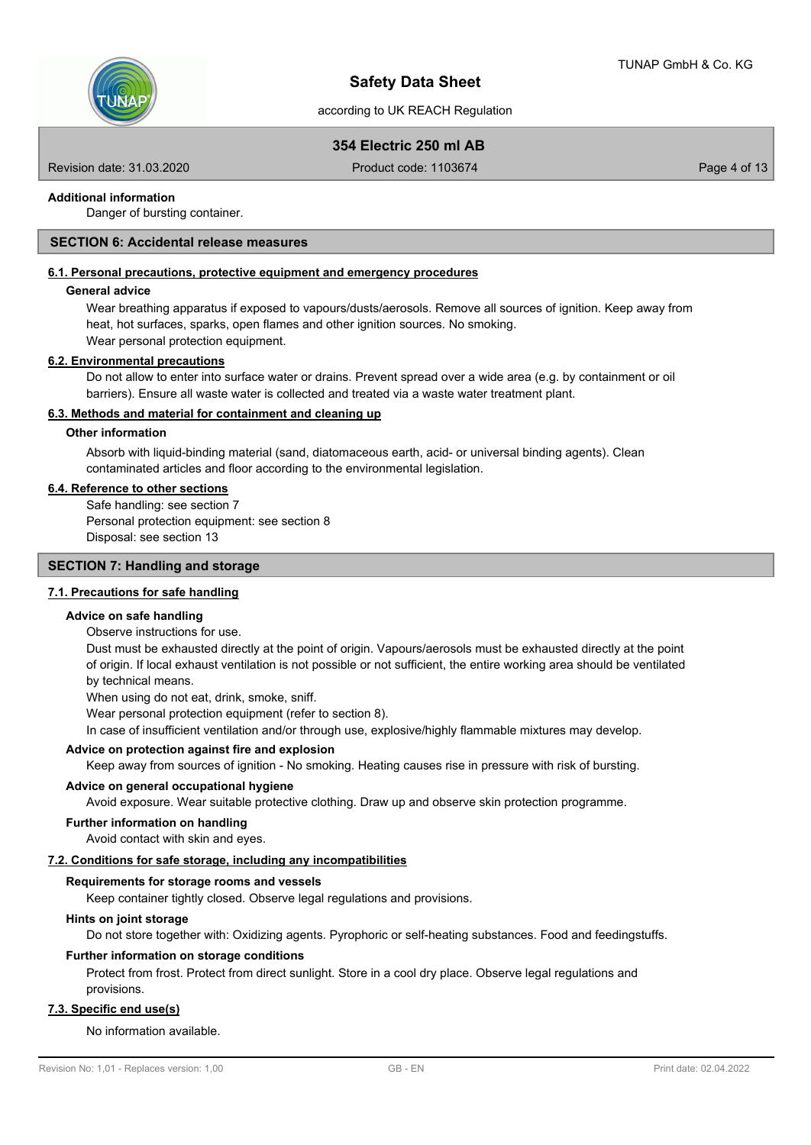

# **354 Electric 250 ml AB**

Revision date: 31.03.2020 **Product code: 1103674** Page 4 of 13

## **Additional information**

Danger of bursting container.

## **SECTION 6: Accidental release measures**

## **6.1. Personal precautions, protective equipment and emergency procedures**

### **General advice**

Wear breathing apparatus if exposed to vapours/dusts/aerosols. Remove all sources of ignition. Keep away from heat, hot surfaces, sparks, open flames and other ignition sources. No smoking. Wear personal protection equipment.

### **6.2. Environmental precautions**

Do not allow to enter into surface water or drains. Prevent spread over a wide area (e.g. by containment or oil barriers). Ensure all waste water is collected and treated via a waste water treatment plant.

## **6.3. Methods and material for containment and cleaning up**

## **Other information**

Absorb with liquid-binding material (sand, diatomaceous earth, acid- or universal binding agents). Clean contaminated articles and floor according to the environmental legislation.

### **6.4. Reference to other sections**

Safe handling: see section 7 Personal protection equipment: see section 8 Disposal: see section 13

## **SECTION 7: Handling and storage**

### **7.1. Precautions for safe handling**

### **Advice on safe handling**

Observe instructions for use.

Dust must be exhausted directly at the point of origin. Vapours/aerosols must be exhausted directly at the point of origin. If local exhaust ventilation is not possible or not sufficient, the entire working area should be ventilated by technical means.

When using do not eat, drink, smoke, sniff.

Wear personal protection equipment (refer to section 8).

In case of insufficient ventilation and/or through use, explosive/highly flammable mixtures may develop.

### **Advice on protection against fire and explosion**

Keep away from sources of ignition - No smoking. Heating causes rise in pressure with risk of bursting.

### **Advice on general occupational hygiene**

Avoid exposure. Wear suitable protective clothing. Draw up and observe skin protection programme.

### **Further information on handling**

Avoid contact with skin and eyes.

## **7.2. Conditions for safe storage, including any incompatibilities**

### **Requirements for storage rooms and vessels**

Keep container tightly closed. Observe legal regulations and provisions.

## **Hints on joint storage**

Do not store together with: Oxidizing agents. Pyrophoric or self-heating substances. Food and feedingstuffs.

### **Further information on storage conditions**

Protect from frost. Protect from direct sunlight. Store in a cool dry place. Observe legal regulations and provisions.

## **7.3. Specific end use(s)**

### No information available.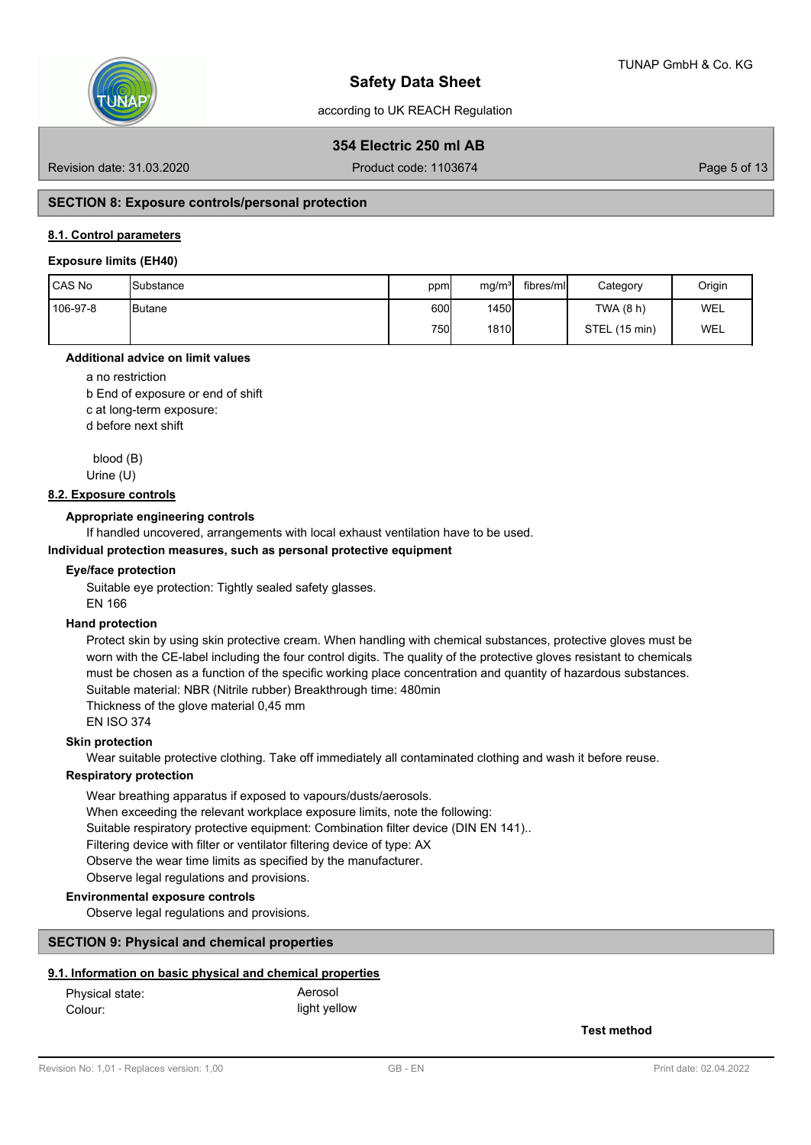

# **354 Electric 250 ml AB**

Revision date: 31.03.2020 **Product code: 1103674** Page 5 of 13

## **SECTION 8: Exposure controls/personal protection**

## **8.1. Control parameters**

### **Exposure limits (EH40)**

| l CAS No | <b>Substance</b> | ppm  | mg/m <sup>3</sup> | fibres/ml | Category      | Origin     |
|----------|------------------|------|-------------------|-----------|---------------|------------|
| 106-97-8 | <b>I</b> Butane  | 600l | 1450              |           | TWA (8 h)     | WEL        |
|          |                  | 750l | <b>1810</b>       |           | STEL (15 min) | <b>WEL</b> |

### **Additional advice on limit values**

a no restriction

b End of exposure or end of shift

c at long-term exposure:

d before next shift

 blood (B) Urine (U)

### **8.2. Exposure controls**

### **Appropriate engineering controls**

If handled uncovered, arrangements with local exhaust ventilation have to be used.

## **Individual protection measures, such as personal protective equipment**

### **Eye/face protection**

Suitable eye protection: Tightly sealed safety glasses. EN 166

## **Hand protection**

Protect skin by using skin protective cream. When handling with chemical substances, protective gloves must be worn with the CE-label including the four control digits. The quality of the protective gloves resistant to chemicals must be chosen as a function of the specific working place concentration and quantity of hazardous substances. Suitable material: NBR (Nitrile rubber) Breakthrough time: 480min

Thickness of the glove material 0,45 mm

EN ISO 374

## **Skin protection**

Wear suitable protective clothing. Take off immediately all contaminated clothing and wash it before reuse.

## **Respiratory protection**

Wear breathing apparatus if exposed to vapours/dusts/aerosols. When exceeding the relevant workplace exposure limits, note the following: Suitable respiratory protective equipment: Combination filter device (DIN EN 141).. Filtering device with filter or ventilator filtering device of type: AX Observe the wear time limits as specified by the manufacturer. Observe legal regulations and provisions.

## **Environmental exposure controls**

Observe legal regulations and provisions.

### **SECTION 9: Physical and chemical properties**

### **9.1. Information on basic physical and chemical properties**

| Physical state: | Aerosol      |
|-----------------|--------------|
| Colour:         | light yellow |

**Test method**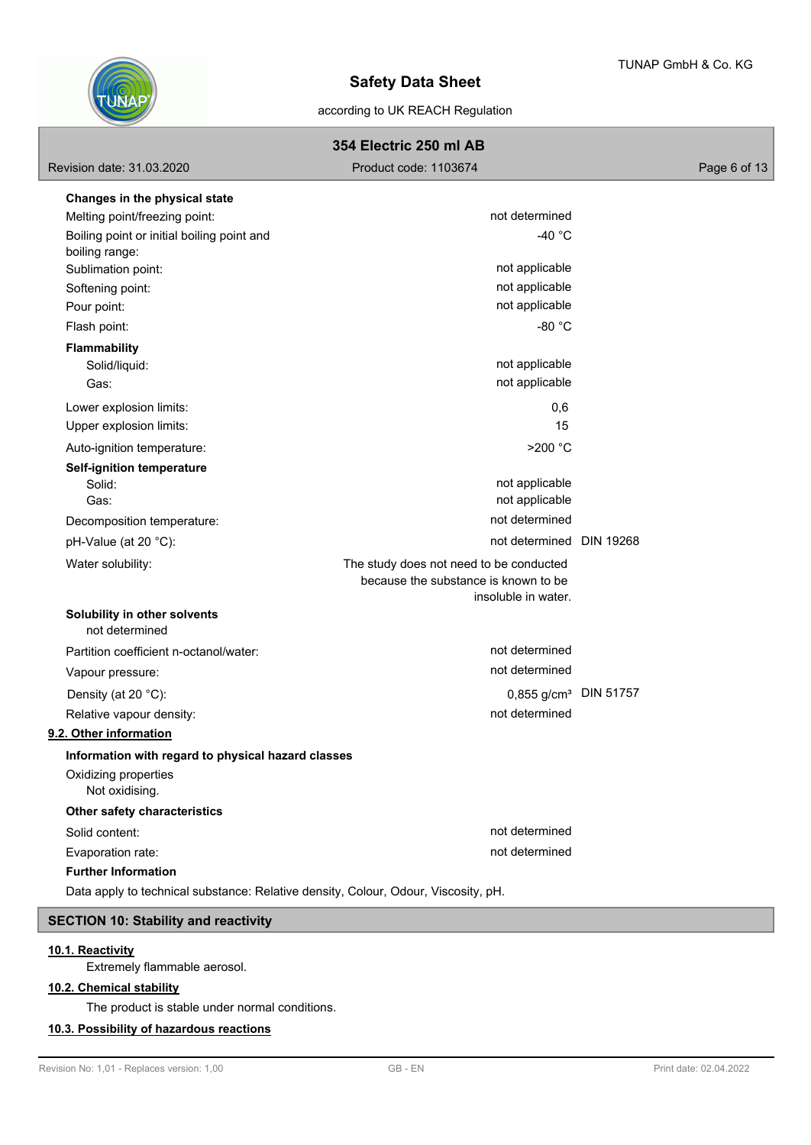

# according to UK REACH Regulation

# **354 Electric 250 ml AB**

|                                                                                    | <b>304 EIGCING ZOU IIII AD</b>          |              |
|------------------------------------------------------------------------------------|-----------------------------------------|--------------|
| Revision date: 31.03.2020                                                          | Product code: 1103674                   | Page 6 of 13 |
| Changes in the physical state                                                      |                                         |              |
| Melting point/freezing point:                                                      | not determined                          |              |
| Boiling point or initial boiling point and                                         | -40 $^{\circ}$ C                        |              |
| boiling range:                                                                     |                                         |              |
| Sublimation point:                                                                 | not applicable                          |              |
| Softening point:                                                                   | not applicable                          |              |
| Pour point:                                                                        | not applicable                          |              |
| Flash point:                                                                       | -80 °C                                  |              |
| <b>Flammability</b>                                                                |                                         |              |
| Solid/liquid:                                                                      | not applicable                          |              |
| Gas:                                                                               | not applicable                          |              |
| Lower explosion limits:                                                            | 0,6                                     |              |
| Upper explosion limits:                                                            | 15                                      |              |
| Auto-ignition temperature:                                                         | >200 °C                                 |              |
| <b>Self-ignition temperature</b>                                                   |                                         |              |
| Solid:                                                                             | not applicable                          |              |
| Gas:                                                                               | not applicable                          |              |
| Decomposition temperature:                                                         | not determined                          |              |
| pH-Value (at 20 °C):                                                               | not determined DIN 19268                |              |
| Water solubility:                                                                  | The study does not need to be conducted |              |
|                                                                                    | because the substance is known to be    |              |
|                                                                                    | insoluble in water.                     |              |
| Solubility in other solvents<br>not determined                                     |                                         |              |
| Partition coefficient n-octanol/water:                                             | not determined                          |              |
| Vapour pressure:                                                                   | not determined                          |              |
| Density (at 20 °C):                                                                | 0,855 g/cm <sup>3</sup> DIN 51757       |              |
| Relative vapour density:                                                           | not determined                          |              |
| 9.2. Other information                                                             |                                         |              |
| Information with regard to physical hazard classes                                 |                                         |              |
| Oxidizing properties<br>Not oxidising.                                             |                                         |              |
| Other safety characteristics                                                       |                                         |              |
| Solid content:                                                                     | not determined                          |              |
| Evaporation rate:                                                                  | not determined                          |              |
| <b>Further Information</b>                                                         |                                         |              |
| Data apply to technical substance: Relative density, Colour, Odour, Viscosity, pH. |                                         |              |
|                                                                                    |                                         |              |

# **SECTION 10: Stability and reactivity**

# **10.1. Reactivity**

Extremely flammable aerosol.

## **10.2. Chemical stability**

The product is stable under normal conditions.

## **10.3. Possibility of hazardous reactions**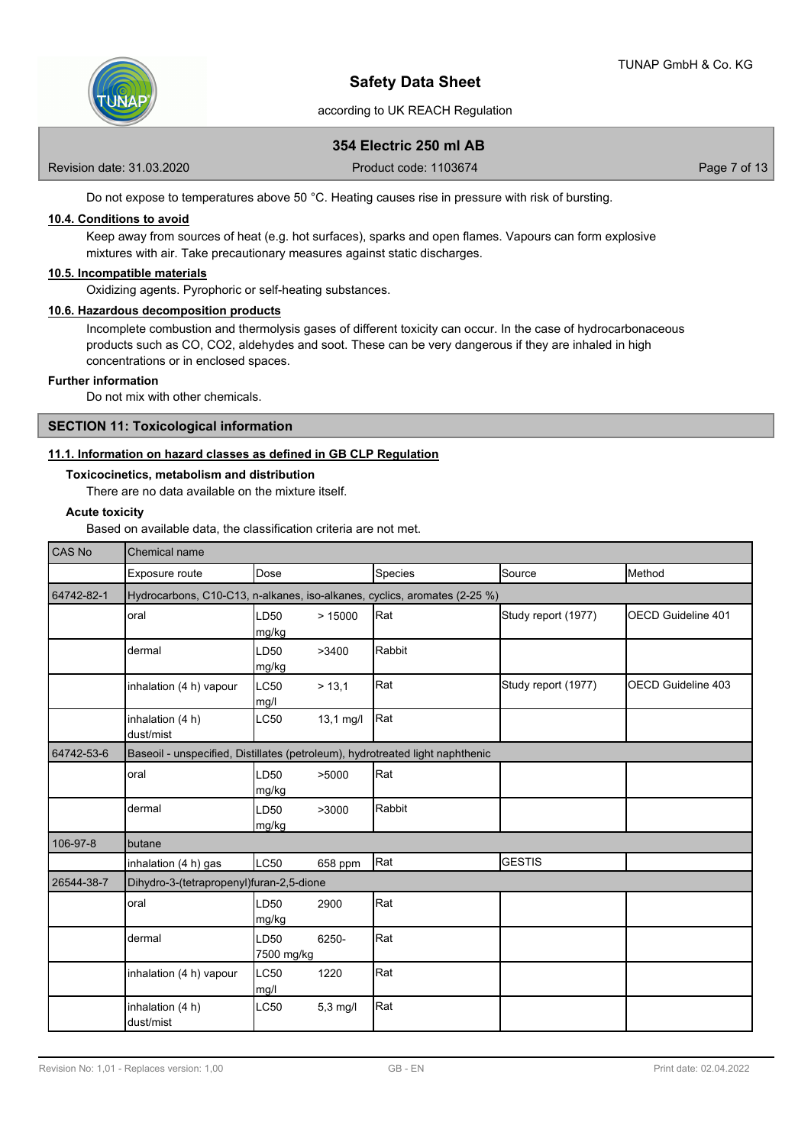

# **354 Electric 250 ml AB**

Revision date: 31.03.2020 **Product code: 1103674** Page 7 of 13

Do not expose to temperatures above 50 °C. Heating causes rise in pressure with risk of bursting.

## **10.4. Conditions to avoid**

Keep away from sources of heat (e.g. hot surfaces), sparks and open flames. Vapours can form explosive mixtures with air. Take precautionary measures against static discharges.

## **10.5. Incompatible materials**

Oxidizing agents. Pyrophoric or self-heating substances.

### **10.6. Hazardous decomposition products**

Incomplete combustion and thermolysis gases of different toxicity can occur. In the case of hydrocarbonaceous products such as CO, CO2, aldehydes and soot. These can be very dangerous if they are inhaled in high concentrations or in enclosed spaces.

### **Further information**

Do not mix with other chemicals.

## **SECTION 11: Toxicological information**

## **11.1. Information on hazard classes as defined in GB CLP Regulation**

**Toxicocinetics, metabolism and distribution**

There are no data available on the mixture itself.

## **Acute toxicity**

Based on available data, the classification criteria are not met.

| <b>CAS No</b> | Chemical name                                                                 |                           |             |         |                     |                            |  |
|---------------|-------------------------------------------------------------------------------|---------------------------|-------------|---------|---------------------|----------------------------|--|
|               | Exposure route                                                                | Dose                      |             | Species | Source              | Method                     |  |
| 64742-82-1    | Hydrocarbons, C10-C13, n-alkanes, iso-alkanes, cyclics, aromates (2-25 %)     |                           |             |         |                     |                            |  |
|               | oral                                                                          | LD50<br>mg/kg             | >15000      | Rat     | Study report (1977) | <b>IOECD Guideline 401</b> |  |
|               | dermal                                                                        | LD50<br>mg/kg             | >3400       | Rabbit  |                     |                            |  |
|               | inhalation (4 h) vapour                                                       | LC50<br>mg/l              | > 13,1      | Rat     | Study report (1977) | OECD Guideline 403         |  |
|               | inhalation (4 h)<br>dust/mist                                                 | <b>LC50</b>               | $13,1$ mg/l | Rat     |                     |                            |  |
| 64742-53-6    | Baseoil - unspecified, Distillates (petroleum), hydrotreated light naphthenic |                           |             |         |                     |                            |  |
|               | oral                                                                          | LD <sub>50</sub><br>mg/kg | >5000       | Rat     |                     |                            |  |
|               | dermal                                                                        | LD50<br>mg/kg             | >3000       | Rabbit  |                     |                            |  |
| 106-97-8      | butane                                                                        |                           |             |         |                     |                            |  |
|               | inhalation (4 h) gas                                                          | LC50                      | 658 ppm     | Rat     | <b>GESTIS</b>       |                            |  |
| 26544-38-7    | Dihydro-3-(tetrapropenyl)furan-2,5-dione                                      |                           |             |         |                     |                            |  |
|               | oral                                                                          | LD50<br>mg/kg             | 2900        | Rat     |                     |                            |  |
|               | dermal                                                                        | LD50<br>7500 mg/kg        | 6250-       | Rat     |                     |                            |  |
|               | inhalation (4 h) vapour                                                       | LC50<br>mg/l              | 1220        | Rat     |                     |                            |  |
|               | inhalation (4 h)<br>dust/mist                                                 | <b>LC50</b>               | $5,3$ mg/l  | Rat     |                     |                            |  |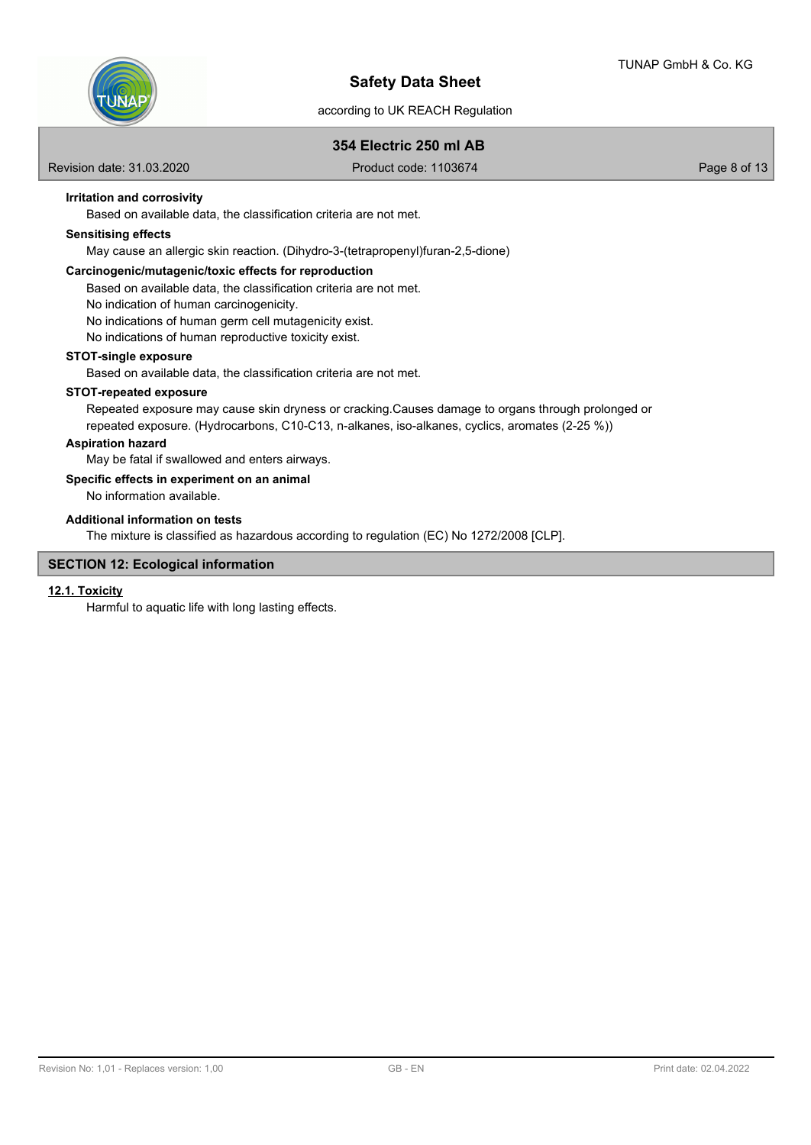

## according to UK REACH Regulation

## **354 Electric 250 ml AB**

Revision date: 31.03.2020 **Product code: 1103674** Page 8 of 13

**Irritation and corrosivity**

Based on available data, the classification criteria are not met.

## **Sensitising effects**

May cause an allergic skin reaction. (Dihydro-3-(tetrapropenyl)furan-2,5-dione)

## **Carcinogenic/mutagenic/toxic effects for reproduction**

Based on available data, the classification criteria are not met.

No indication of human carcinogenicity.

No indications of human germ cell mutagenicity exist.

No indications of human reproductive toxicity exist.

### **STOT-single exposure**

Based on available data, the classification criteria are not met.

## **STOT-repeated exposure**

Repeated exposure may cause skin dryness or cracking.Causes damage to organs through prolonged or repeated exposure. (Hydrocarbons, C10-C13, n-alkanes, iso-alkanes, cyclics, aromates (2-25 %))

## **Aspiration hazard**

May be fatal if swallowed and enters airways.

## **Specific effects in experiment on an animal**

No information available.

## **Additional information on tests**

The mixture is classified as hazardous according to regulation (EC) No 1272/2008 [CLP].

## **SECTION 12: Ecological information**

### **12.1. Toxicity**

Harmful to aquatic life with long lasting effects.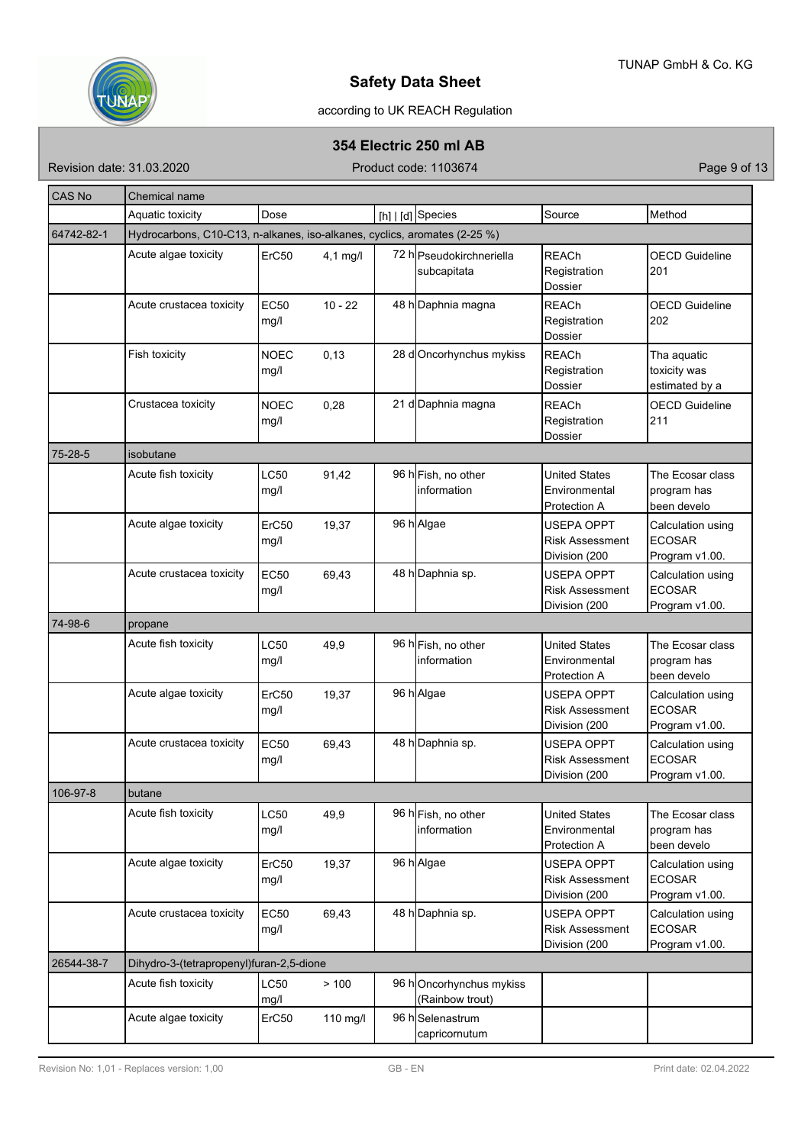

# according to UK REACH Regulation

## **354 Electric 250 ml AB**

Revision date: 31.03.2020 **Product code: 1103674** Product code: 1103674

| <b>CAS No</b> | Chemical name                                                             |                     |            |  |                                            |                                                       |                                                      |
|---------------|---------------------------------------------------------------------------|---------------------|------------|--|--------------------------------------------|-------------------------------------------------------|------------------------------------------------------|
|               | Aquatic toxicity                                                          | Dose                |            |  | [h]   [d] Species                          | Source                                                | Method                                               |
| 64742-82-1    | Hydrocarbons, C10-C13, n-alkanes, iso-alkanes, cyclics, aromates (2-25 %) |                     |            |  |                                            |                                                       |                                                      |
|               | Acute algae toxicity                                                      | ErC50               | $4,1$ mg/l |  | 72 h Pseudokirchneriella<br>subcapitata    | <b>REACh</b><br>Registration<br>Dossier               | <b>OECD Guideline</b><br>201                         |
|               | Acute crustacea toxicity                                                  | <b>EC50</b><br>mg/l | $10 - 22$  |  | 48 h Daphnia magna                         | <b>REACh</b><br>Registration<br>Dossier               | <b>OECD Guideline</b><br>202                         |
|               | Fish toxicity                                                             | <b>NOEC</b><br>mg/l | 0,13       |  | 28 d Oncorhynchus mykiss                   | <b>REACh</b><br>Registration<br>Dossier               | Tha aquatic<br>toxicity was<br>estimated by a        |
|               | Crustacea toxicity                                                        | <b>NOEC</b><br>mg/l | 0,28       |  | 21 d Daphnia magna                         | <b>REACh</b><br>Registration<br>Dossier               | <b>OECD Guideline</b><br>211                         |
| 75-28-5       | isobutane                                                                 |                     |            |  |                                            |                                                       |                                                      |
|               | Acute fish toxicity                                                       | <b>LC50</b><br>mg/l | 91,42      |  | 96 hFish, no other<br>linformation         | <b>United States</b><br>Environmental<br>Protection A | The Ecosar class<br>program has<br>been develo       |
|               | Acute algae toxicity                                                      | ErC50<br>mg/l       | 19,37      |  | 96 h Algae                                 | USEPA OPPT<br><b>Risk Assessment</b><br>Division (200 | Calculation using<br><b>ECOSAR</b><br>Program v1.00. |
|               | Acute crustacea toxicity                                                  | <b>EC50</b><br>mg/l | 69,43      |  | 48 h Daphnia sp.                           | USEPA OPPT<br><b>Risk Assessment</b><br>Division (200 | Calculation using<br><b>ECOSAR</b><br>Program v1.00. |
| 74-98-6       | propane                                                                   |                     |            |  |                                            |                                                       |                                                      |
|               | Acute fish toxicity                                                       | <b>LC50</b><br>mg/l | 49,9       |  | 96 hFish, no other<br>linformation         | <b>United States</b><br>Environmental<br>Protection A | The Ecosar class<br>program has<br>been develo       |
|               | Acute algae toxicity                                                      | ErC50<br>mg/l       | 19,37      |  | 96 h Algae                                 | USEPA OPPT<br><b>Risk Assessment</b><br>Division (200 | Calculation using<br><b>ECOSAR</b><br>Program v1.00. |
|               | Acute crustacea toxicity                                                  | <b>EC50</b><br>mg/l | 69,43      |  | 48 h Daphnia sp.                           | USEPA OPPT<br><b>Risk Assessment</b><br>Division (200 | Calculation using<br><b>ECOSAR</b><br>Program v1.00. |
| 106-97-8      | butane                                                                    |                     |            |  |                                            |                                                       |                                                      |
|               | Acute fish toxicity                                                       | LC50<br>mg/l        | 49,9       |  | 96 h Fish, no other<br>information         | <b>United States</b><br>Environmental<br>Protection A | The Ecosar class<br>program has<br>been develo       |
|               | Acute algae toxicity                                                      | ErC50<br>mg/l       | 19,37      |  | 96 h Algae                                 | USEPA OPPT<br><b>Risk Assessment</b><br>Division (200 | Calculation using<br><b>ECOSAR</b><br>Program v1.00. |
|               | Acute crustacea toxicity                                                  | <b>EC50</b><br>mg/l | 69,43      |  | 48 h Daphnia sp.                           | USEPA OPPT<br><b>Risk Assessment</b><br>Division (200 | Calculation using<br><b>ECOSAR</b><br>Program v1.00. |
| 26544-38-7    | Dihydro-3-(tetrapropenyl)furan-2,5-dione                                  |                     |            |  |                                            |                                                       |                                                      |
|               | Acute fish toxicity                                                       | LC50<br>mg/l        | > 100      |  | 96 hOncorhynchus mykiss<br>(Rainbow trout) |                                                       |                                                      |
|               | Acute algae toxicity                                                      | ErC50               | 110 mg/l   |  | 96 hSelenastrum<br>capricornutum           |                                                       |                                                      |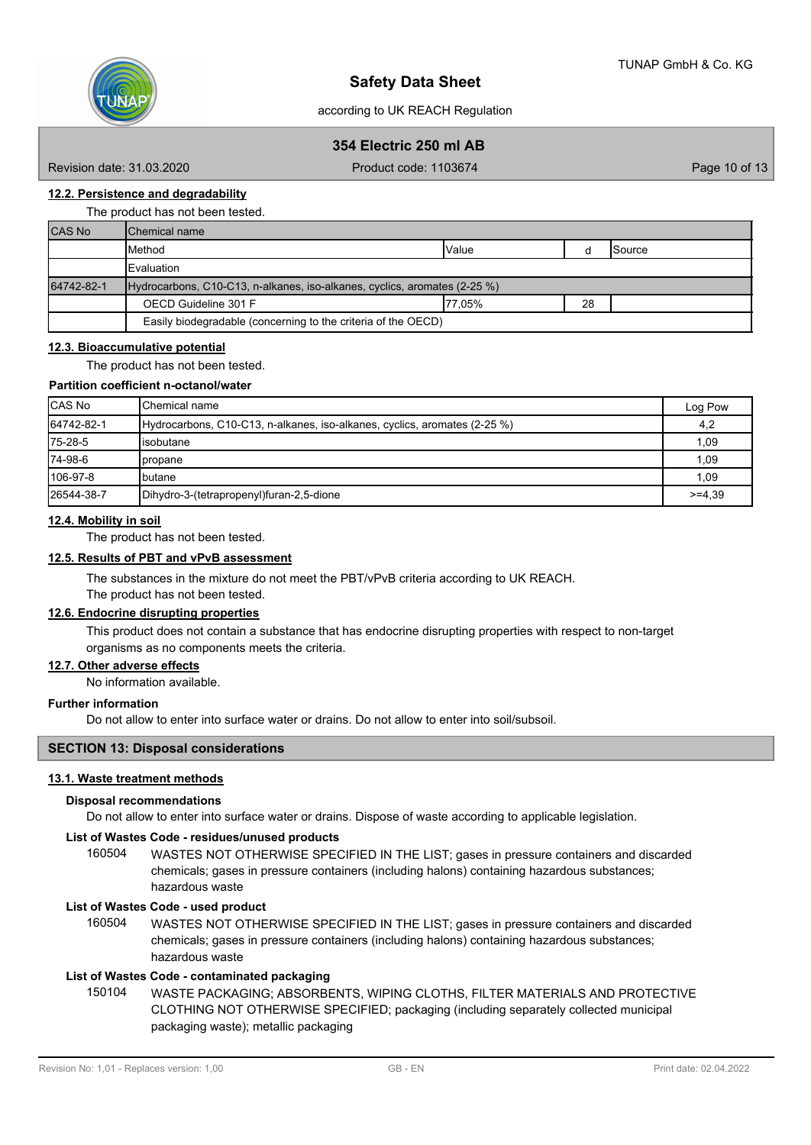

# **354 Electric 250 ml AB**

Revision date: 31.03.2020 **Product code: 1103674** Product code: 1103674

## **12.2. Persistence and degradability**

The product has not been tested.

| <b>CAS No</b> | lChemical name                                                            |              |    |                 |
|---------------|---------------------------------------------------------------------------|--------------|----|-----------------|
|               | Method                                                                    | <b>Value</b> |    | <b>I</b> Source |
|               | <b>IEvaluation</b>                                                        |              |    |                 |
|               |                                                                           |              |    |                 |
| 64742-82-1    | Hydrocarbons, C10-C13, n-alkanes, iso-alkanes, cyclics, aromates (2-25 %) |              |    |                 |
|               | OECD Guideline 301 F                                                      | 177.05%      | 28 |                 |

## **12.3. Bioaccumulative potential**

The product has not been tested.

### **Partition coefficient n-octanol/water**

| <b>CAS No</b> | <b>I</b> Chemical name                                                     | Log Pow   |
|---------------|----------------------------------------------------------------------------|-----------|
| 64742-82-1    | (Hydrocarbons, C10-C13, n-alkanes, iso-alkanes, cyclics, aromates (2-25 %) | 4,2       |
| 75-28-5       | Iisobutane                                                                 | 1,09      |
| 74-98-6       | Ipropane                                                                   | 1,09      |
| 106-97-8      | Ibutane                                                                    | 1,09      |
| 26544-38-7    | Dihydro-3-(tetrapropenyl)furan-2,5-dione                                   | $>= 4.39$ |

## **12.4. Mobility in soil**

The product has not been tested.

## **12.5. Results of PBT and vPvB assessment**

The substances in the mixture do not meet the PBT/vPvB criteria according to UK REACH.

# The product has not been tested.

# **12.6. Endocrine disrupting properties**

This product does not contain a substance that has endocrine disrupting properties with respect to non-target organisms as no components meets the criteria.

**12.7. Other adverse effects**

No information available.

## **Further information**

Do not allow to enter into surface water or drains. Do not allow to enter into soil/subsoil.

### **SECTION 13: Disposal considerations**

### **13.1. Waste treatment methods**

### **Disposal recommendations**

Do not allow to enter into surface water or drains. Dispose of waste according to applicable legislation.

### **List of Wastes Code - residues/unused products**

160504 WASTES NOT OTHERWISE SPECIFIED IN THE LIST; gases in pressure containers and discarded chemicals; gases in pressure containers (including halons) containing hazardous substances; hazardous waste

## **List of Wastes Code - used product**

WASTES NOT OTHERWISE SPECIFIED IN THE LIST; gases in pressure containers and discarded chemicals; gases in pressure containers (including halons) containing hazardous substances; hazardous waste 160504

### **List of Wastes Code - contaminated packaging**

WASTE PACKAGING; ABSORBENTS, WIPING CLOTHS, FILTER MATERIALS AND PROTECTIVE CLOTHING NOT OTHERWISE SPECIFIED; packaging (including separately collected municipal packaging waste); metallic packaging 150104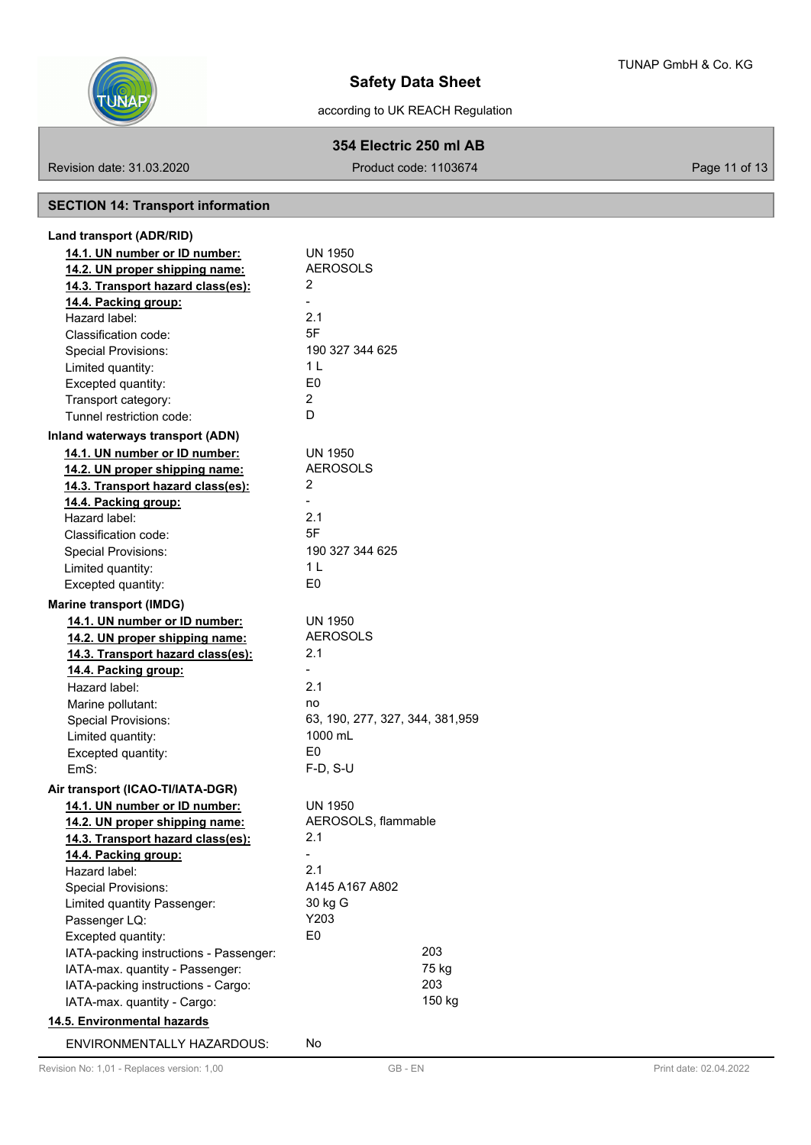

# **354 Electric 250 ml AB**

Revision date: 31.03.2020 **Product code: 1103674** Product code: 1103674

# **SECTION 14: Transport information**

| Land transport (ADR/RID)               |                                  |  |
|----------------------------------------|----------------------------------|--|
| 14.1. UN number or ID number:          | <b>UN 1950</b>                   |  |
| 14.2. UN proper shipping name:         | <b>AEROSOLS</b>                  |  |
| 14.3. Transport hazard class(es):      | 2                                |  |
| 14.4. Packing group:                   |                                  |  |
| Hazard label:                          | 2.1                              |  |
| Classification code:                   | 5F                               |  |
| <b>Special Provisions:</b>             | 190 327 344 625                  |  |
| Limited quantity:                      | 1 <sub>L</sub>                   |  |
| Excepted quantity:                     | E <sub>0</sub>                   |  |
| Transport category:                    | 2                                |  |
| Tunnel restriction code:               | D                                |  |
| Inland waterways transport (ADN)       |                                  |  |
| 14.1. UN number or ID number:          | <b>UN 1950</b>                   |  |
| 14.2. UN proper shipping name:         | <b>AEROSOLS</b>                  |  |
| 14.3. Transport hazard class(es):      | 2                                |  |
| 14.4. Packing group:                   |                                  |  |
| Hazard label:                          | 2.1                              |  |
| Classification code:                   | 5F                               |  |
| <b>Special Provisions:</b>             | 190 327 344 625                  |  |
| Limited quantity:                      | 1 <sub>L</sub>                   |  |
| Excepted quantity:                     | E0                               |  |
| <b>Marine transport (IMDG)</b>         |                                  |  |
| 14.1. UN number or ID number:          | <b>UN 1950</b>                   |  |
| 14.2. UN proper shipping name:         | <b>AEROSOLS</b>                  |  |
| 14.3. Transport hazard class(es):      | 2.1                              |  |
| 14.4. Packing group:                   |                                  |  |
| Hazard label:                          | 2.1                              |  |
| Marine pollutant:                      | no                               |  |
| <b>Special Provisions:</b>             | 63, 190, 277, 327, 344, 381, 959 |  |
| Limited quantity:                      | 1000 mL                          |  |
| Excepted quantity:                     | E0                               |  |
| FmS:                                   | F-D, S-U                         |  |
| Air transport (ICAO-TI/IATA-DGR)       |                                  |  |
| 14.1. UN number or ID number:          | <b>UN 1950</b>                   |  |
| 14.2. UN proper shipping name:         | AEROSOLS, flammable              |  |
| 14.3. Transport hazard class(es):      | 2.1                              |  |
| 14.4. Packing group:                   |                                  |  |
| Hazard label:                          | 2.1                              |  |
| <b>Special Provisions:</b>             | A145 A167 A802                   |  |
| Limited quantity Passenger:            | 30 kg G                          |  |
| Passenger LQ:                          | Y203                             |  |
| Excepted quantity:                     | E0                               |  |
| IATA-packing instructions - Passenger: | 203                              |  |
| IATA-max. quantity - Passenger:        | 75 kg                            |  |
| IATA-packing instructions - Cargo:     | 203                              |  |
| IATA-max. quantity - Cargo:            | 150 kg                           |  |
| 14.5. Environmental hazards            |                                  |  |
| <b>ENVIRONMENTALLY HAZARDOUS:</b>      | No                               |  |
|                                        |                                  |  |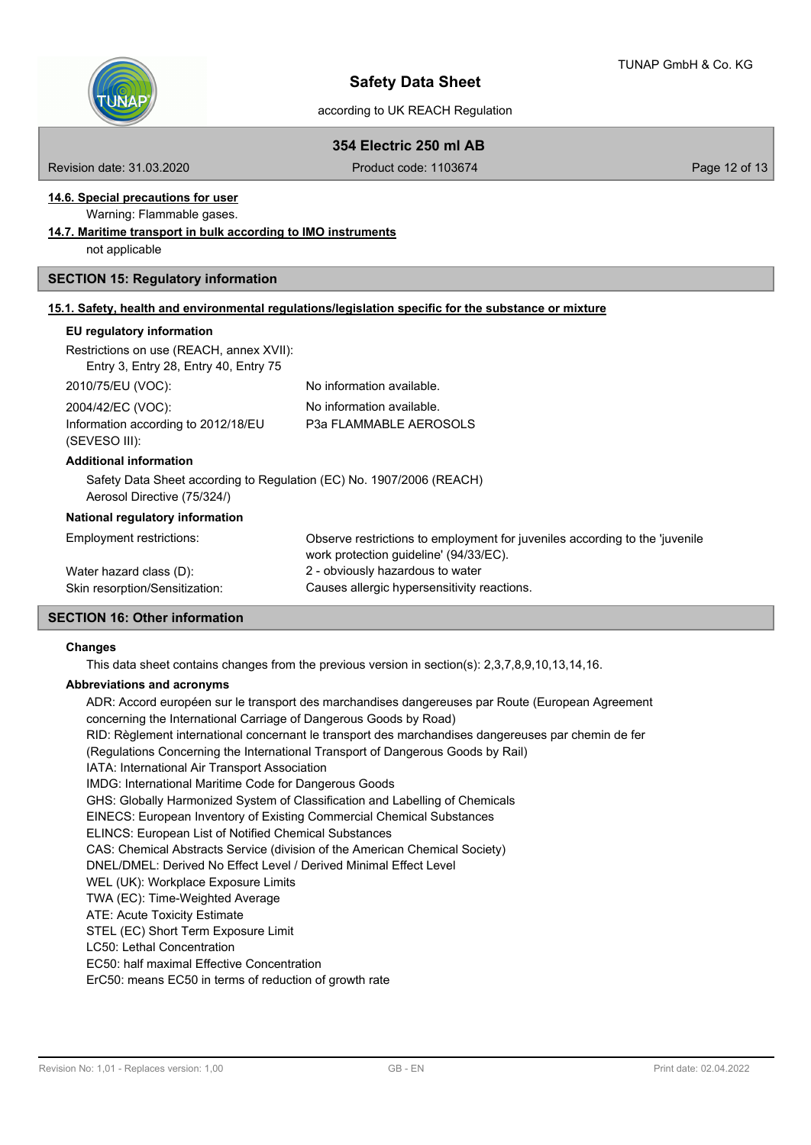

# **354 Electric 250 ml AB**

Revision date: 31.03.2020 **Product code: 1103674** Product code: 1103674

# **14.6. Special precautions for user**

Warning: Flammable gases.

**14.7. Maritime transport in bulk according to IMO instruments**

not applicable

## **SECTION 15: Regulatory information**

### **15.1. Safety, health and environmental regulations/legislation specific for the substance or mixture**

# **EU regulatory information**

| Restrictions on use (REACH, annex XVII):<br>Entry 3, Entry 28, Entry 40, Entry 75                   |                                                                                                                       |
|-----------------------------------------------------------------------------------------------------|-----------------------------------------------------------------------------------------------------------------------|
| 2010/75/EU (VOC):                                                                                   | No information available.                                                                                             |
| 2004/42/EC (VOC):                                                                                   | No information available.                                                                                             |
| Information according to 2012/18/EU<br>(SEVESO III):                                                | P3a FLAMMABLE AEROSOLS                                                                                                |
| <b>Additional information</b>                                                                       |                                                                                                                       |
| Safety Data Sheet according to Regulation (EC) No. 1907/2006 (REACH)<br>Aerosol Directive (75/324/) |                                                                                                                       |
| National regulatory information                                                                     |                                                                                                                       |
| Employment restrictions:                                                                            | Observe restrictions to employment for juveniles according to the 'juvenile<br>work protection guideline' (94/33/EC). |
| Water hazard class (D):                                                                             | 2 - obviously hazardous to water                                                                                      |
| Skin resorption/Sensitization:                                                                      | Causes allergic hypersensitivity reactions.                                                                           |

## **SECTION 16: Other information**

#### **Changes**

This data sheet contains changes from the previous version in section(s): 2,3,7,8,9,10,13,14,16.

## **Abbreviations and acronyms**

ADR: Accord européen sur le transport des marchandises dangereuses par Route (European Agreement concerning the International Carriage of Dangerous Goods by Road) RID: Règlement international concernant le transport des marchandises dangereuses par chemin de fer (Regulations Concerning the International Transport of Dangerous Goods by Rail) IATA: International Air Transport Association IMDG: International Maritime Code for Dangerous Goods GHS: Globally Harmonized System of Classification and Labelling of Chemicals EINECS: European Inventory of Existing Commercial Chemical Substances ELINCS: European List of Notified Chemical Substances CAS: Chemical Abstracts Service (division of the American Chemical Society) DNEL/DMEL: Derived No Effect Level / Derived Minimal Effect Level WEL (UK): Workplace Exposure Limits TWA (EC): Time-Weighted Average ATE: Acute Toxicity Estimate STEL (EC) Short Term Exposure Limit LC50: Lethal Concentration EC50: half maximal Effective Concentration ErC50: means EC50 in terms of reduction of growth rate